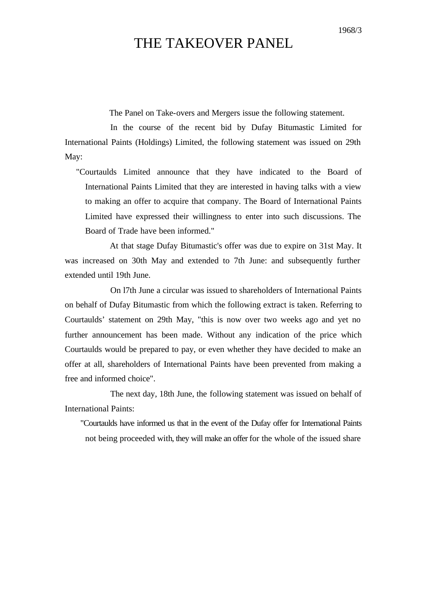## THE TAKEOVER PANEL

The Panel on Take-overs and Mergers issue the following statement.

In the course of the recent bid by Dufay Bitumastic Limited for International Paints (Holdings) Limited, the following statement was issued on 29th May:

"Courtaulds Limited announce that they have indicated to the Board of International Paints Limited that they are interested in having talks with a view to making an offer to acquire that company. The Board of International Paints Limited have expressed their willingness to enter into such discussions. The Board of Trade have been informed."

At that stage Dufay Bitumastic's offer was due to expire on 31st May. It was increased on 30th May and extended to 7th June: and subsequently further extended until 19th June.

On l7th June a circular was issued to shareholders of International Paints on behalf of Dufay Bitumastic from which the following extract is taken. Referring to Courtaulds' statement on 29th May, "this is now over two weeks ago and yet no further announcement has been made. Without any indication of the price which Courtaulds would be prepared to pay, or even whether they have decided to make an offer at all, shareholders of International Paints have been prevented from making a free and informed choice".

The next day, 18th June, the following statement was issued on behalf of International Paints:

"Courtaulds have informed us that in the event of the Dufay offer for International Paints not being proceeded with, they will make an offer for the whole of the issued share